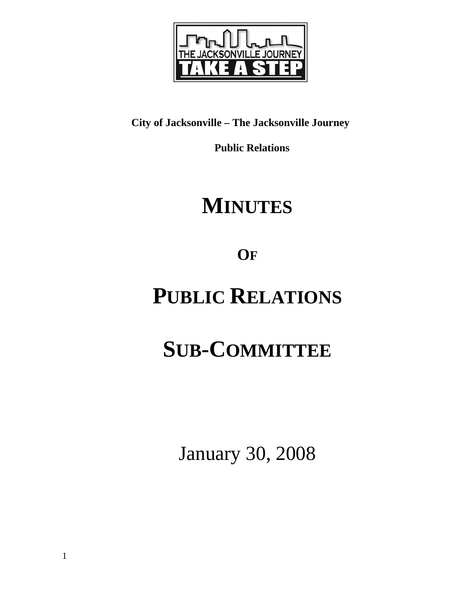

## **City of Jacksonville – The Jacksonville Journey**

 **Public Relations** 

## **MINUTES**

**OF**

## **PUBLIC RELATIONS**

# **SUB-COMMITTEE**

January 30, 2008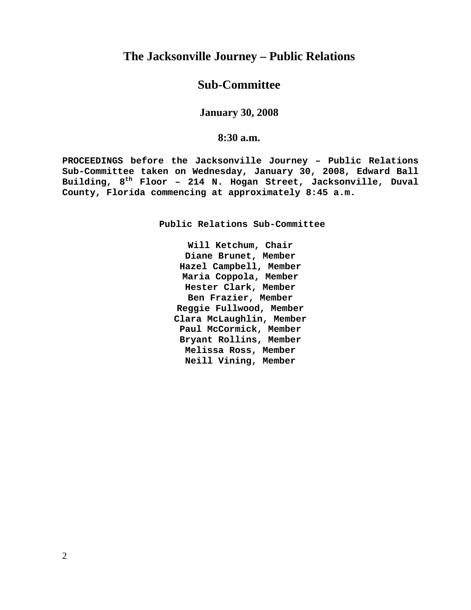## **The Jacksonville Journey – Public Relations**

### **Sub-Committee**

#### **January 30, 2008**

#### **8:30 a.m.**

**PROCEEDINGS before the Jacksonville Journey – Public Relations Sub-Committee taken on Wednesday, January 30, 2008, Edward Ball Building, 8th Floor – 214 N. Hogan Street, Jacksonville, Duval County, Florida commencing at approximately 8:45 a.m.** 

**Public Relations Sub-Committee** 

**Will Ketchum, Chair Diane Brunet, Member Hazel Campbell, Member Maria Coppola, Member Hester Clark, Member Ben Frazier, Member Reggie Fullwood, Member Clara McLaughlin, Member Paul McCormick, Member Bryant Rollins, Member Melissa Ross, Member Neill Vining, Member**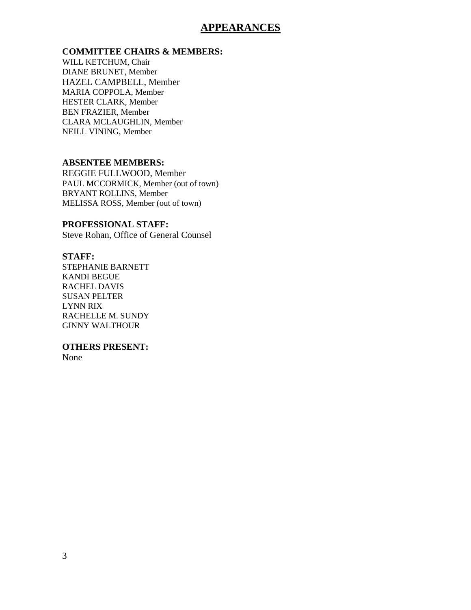### **APPEARANCES**

#### **COMMITTEE CHAIRS & MEMBERS:**

WILL KETCHUM, Chair DIANE BRUNET, Member HAZEL CAMPBELL, Member MARIA COPPOLA, Member HESTER CLARK, Member BEN FRAZIER, Member CLARA MCLAUGHLIN, Member NEILL VINING, Member

#### **ABSENTEE MEMBERS:**

REGGIE FULLWOOD, Member PAUL MCCORMICK, Member (out of town) BRYANT ROLLINS, Member MELISSA ROSS, Member (out of town)

#### **PROFESSIONAL STAFF:**

Steve Rohan, Office of General Counsel

#### **STAFF:**

STEPHANIE BARNETT KANDI BEGUE RACHEL DAVIS SUSAN PELTER LYNN RIX RACHELLE M. SUNDY GINNY WALTHOUR

#### **OTHERS PRESENT:**

None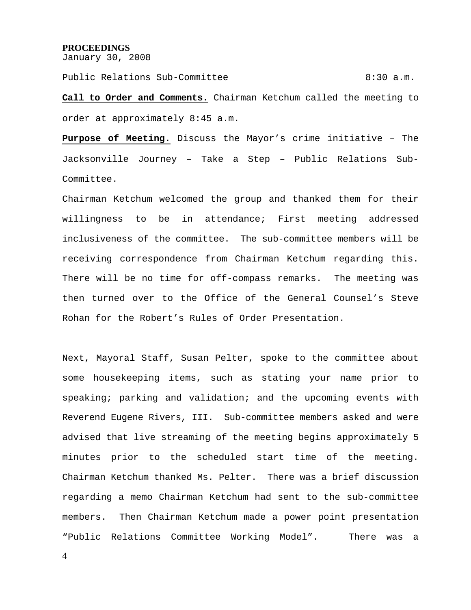#### **PROCEEDINGS**

January 30, 2008

Public Relations Sub-Committee  $8:30$  a.m.

**Call to Order and Comments.** Chairman Ketchum called the meeting to order at approximately 8:45 a.m.

**Purpose of Meeting.** Discuss the Mayor's crime initiative – The Jacksonville Journey – Take a Step – Public Relations Sub-Committee.

Chairman Ketchum welcomed the group and thanked them for their willingness to be in attendance; First meeting addressed inclusiveness of the committee. The sub-committee members will be receiving correspondence from Chairman Ketchum regarding this. There will be no time for off-compass remarks. The meeting was then turned over to the Office of the General Counsel's Steve Rohan for the Robert's Rules of Order Presentation.

Next, Mayoral Staff, Susan Pelter, spoke to the committee about some housekeeping items, such as stating your name prior to speaking; parking and validation; and the upcoming events with Reverend Eugene Rivers, III. Sub-committee members asked and were advised that live streaming of the meeting begins approximately 5 minutes prior to the scheduled start time of the meeting. Chairman Ketchum thanked Ms. Pelter. There was a brief discussion regarding a memo Chairman Ketchum had sent to the sub-committee members. Then Chairman Ketchum made a power point presentation "Public Relations Committee Working Model". There was a

4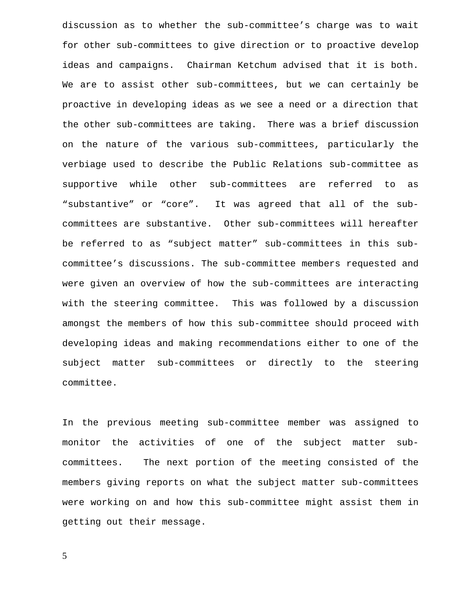discussion as to whether the sub-committee's charge was to wait for other sub-committees to give direction or to proactive develop ideas and campaigns. Chairman Ketchum advised that it is both. We are to assist other sub-committees, but we can certainly be proactive in developing ideas as we see a need or a direction that the other sub-committees are taking. There was a brief discussion on the nature of the various sub-committees, particularly the verbiage used to describe the Public Relations sub-committee as supportive while other sub-committees are referred to as "substantive" or "core". It was agreed that all of the subcommittees are substantive. Other sub-committees will hereafter be referred to as "subject matter" sub-committees in this subcommittee's discussions. The sub-committee members requested and were given an overview of how the sub-committees are interacting with the steering committee. This was followed by a discussion amongst the members of how this sub-committee should proceed with developing ideas and making recommendations either to one of the subject matter sub-committees or directly to the steering committee.

In the previous meeting sub-committee member was assigned to monitor the activities of one of the subject matter subcommittees. The next portion of the meeting consisted of the members giving reports on what the subject matter sub-committees were working on and how this sub-committee might assist them in getting out their message.

5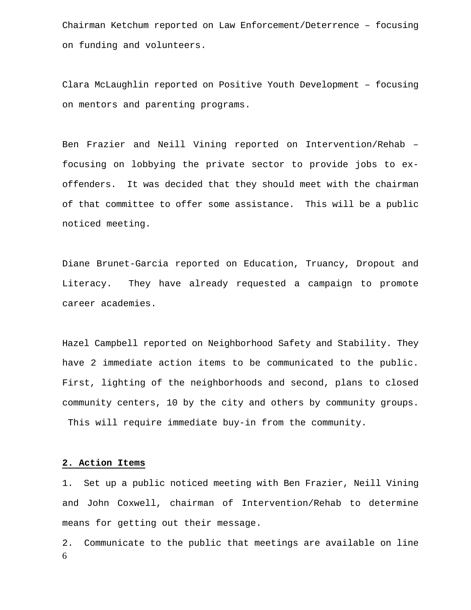Chairman Ketchum reported on Law Enforcement/Deterrence – focusing on funding and volunteers.

Clara McLaughlin reported on Positive Youth Development – focusing on mentors and parenting programs.

Ben Frazier and Neill Vining reported on Intervention/Rehab – focusing on lobbying the private sector to provide jobs to exoffenders. It was decided that they should meet with the chairman of that committee to offer some assistance. This will be a public noticed meeting.

Diane Brunet-Garcia reported on Education, Truancy, Dropout and Literacy. They have already requested a campaign to promote career academies.

Hazel Campbell reported on Neighborhood Safety and Stability. They have 2 immediate action items to be communicated to the public. First, lighting of the neighborhoods and second, plans to closed community centers, 10 by the city and others by community groups. This will require immediate buy-in from the community.

#### **2. Action Items**

1. Set up a public noticed meeting with Ben Frazier, Neill Vining and John Coxwell, chairman of Intervention/Rehab to determine means for getting out their message.

6 2. Communicate to the public that meetings are available on line